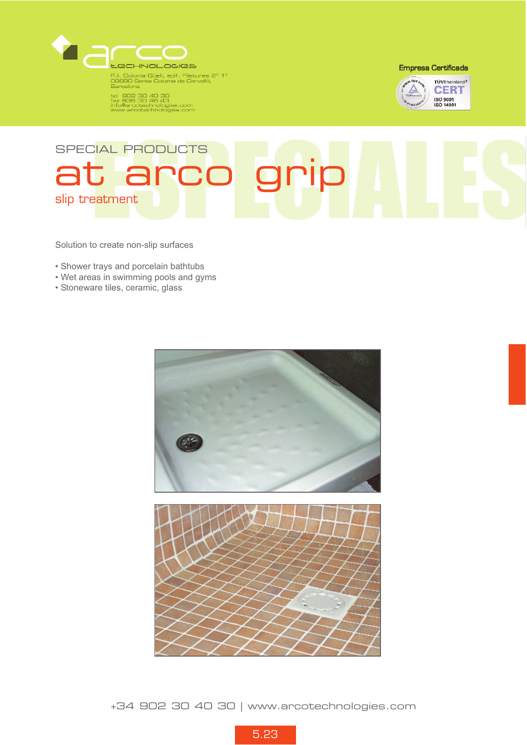

tel 902 30 40 30<br>fax 936 30 48 43<br>info@arcotechnologies.com<br>www.arcotechnologies.com

**Empresa Certificada** 



## SPECIAL PRODUCTS at arco grip slip treatment

Solution to create non-slip surfaces

- Shower trays and porcelain bathtubs
- Wet areas in swimming pools and gyms
- Stoneware tiles, ceramic, glass



+34 902 30 40 30 | www.arcotechnologies.com

5.23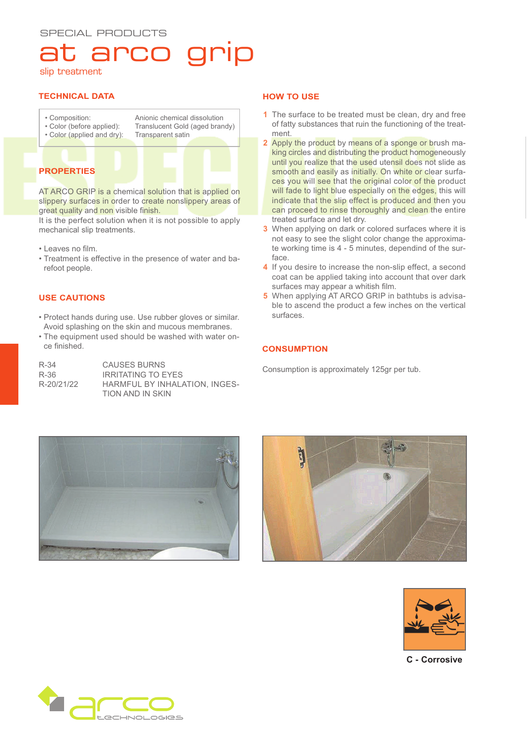# arco

slip treatment

### **TECHNICAL DATA**

- Composition:
- Color (before applied): • Color (applied and dry):

Anionic chemical dissolution Translucent Gold (aged brandy) Transparent satin

### **PROPERTIES**

AT ARCO GRIP is a chemical solution that is applied on slippery surfaces in order to create nonslippery areas of great quality and non visible finish.

It is the perfect solution when it is not possible to apply mechanical slip treatments.

- Leaves no film.
- Treatment is effective in the presence of water and barefoot people.

### **USE CAUTIONS**

- Protect hands during use. Use rubber gloves or similar. Avoid splashing on the skin and mucous membranes.
- The equipment used should be washed with water once finished.

| $R - 34$   | <b>CAUSES BURNS</b>           |
|------------|-------------------------------|
| R-36       | <b>IRRITATING TO EYES</b>     |
| R-20/21/22 | HARMFUL BY INHALATION, INGES- |
|            | TION AND IN SKIN              |

### **HOW TO USE**

- **1** The surface to be treated must be clean, dry and free of fatty substances that ruin the functioning of the treatment.
- **2** Apply the product by means of a sponge or brush making circles and distributing the product homogeneously until you realize that the used utensil does not slide as smooth and easily as initially. On white or clear surfaces you will see that the original color of the product will fade to light blue especially on the edges, this will indicate that the slip effect is produced and then you can proceed to rinse thoroughly and clean the entire treated surface and let dry.
- **3** When applying on dark or colored surfaces where it is not easy to see the slight color change the approximate working time is 4 - 5 minutes, dependind of the surface.
- **4** If you desire to increase the non-slip effect, a second coat can be applied taking into account that over dark surfaces may appear a whitish film.
- **5** When applying AT ARCO GRIP in bathtubs is advisable to ascend the product a few inches on the vertical surfaces.

### **CONSUMPTION**

Consumption is approximately 125gr per tub.







**C - Corrosive**

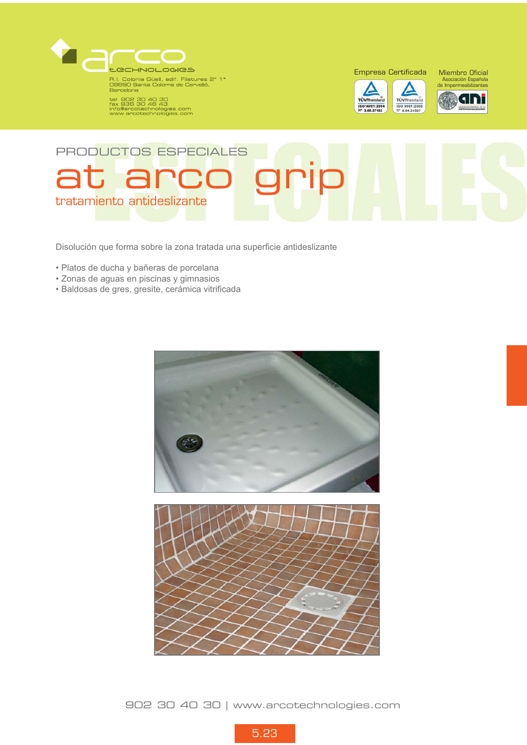

R.I. Colonia Güell, edif. Filatures 2° 1°<br>08690 Santa Coloma de Cervelló,<br>Barcelona

tel coloria<br>tel 902 30 40 30<br>fax 936 30 46 43<br>info@arcotechnologies.com<br>www.arcotechnologies.com



ISO 9001:2000<br>N° 0.04.04327



## PRODUCTOS ESPECIALES at arco grip tratamiento antideslizante

Disolución que forma sobre la zona tratada una superficie antideslizante

- Platos de ducha y bañeras de porcelana
- Zonas de aguas en piscinas y gimnasios
- Baldosas de gres, gresite, cerámica vitrificada



902 30 40 30 | www.arcotechnologies.com

5.23